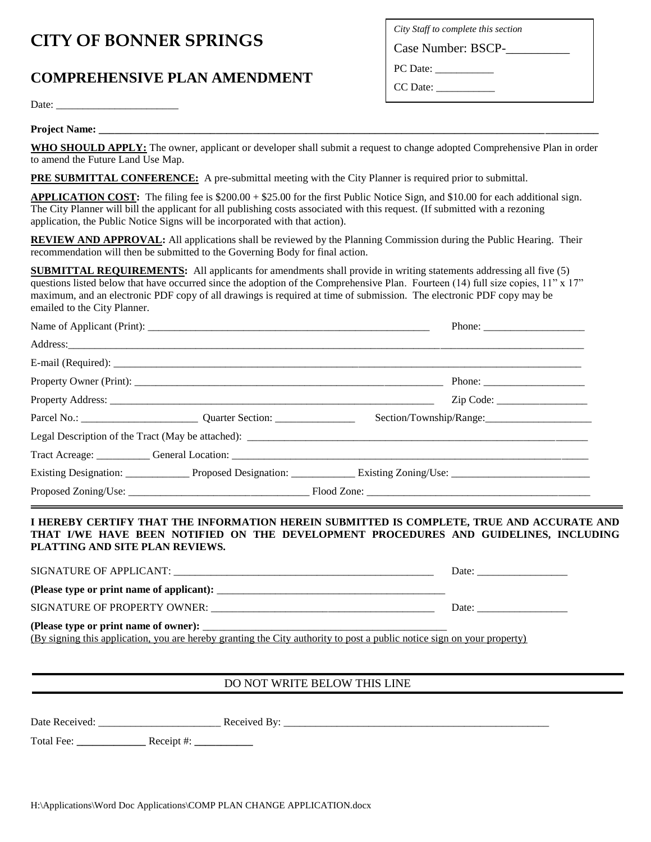## **CITY OF BONNER SPRINGS**

## **COMPREHENSIVE PLAN AMENDMENT**

*City Staff to complete this section*

Case Number: BSCP-

PC Date: \_\_\_\_\_\_\_\_\_\_\_

CC Date: \_\_\_\_\_\_\_\_\_\_\_

Date: \_\_\_\_\_\_\_\_\_\_\_\_\_\_\_\_\_\_\_\_\_\_\_

**Project Name:** 

**WHO SHOULD APPLY:** The owner, applicant or developer shall submit a request to change adopted Comprehensive Plan in order to amend the Future Land Use Map.

**PRE SUBMITTAL CONFERENCE:** A pre-submittal meeting with the City Planner is required prior to submittal.

**APPLICATION COST:** The filing fee is \$200.00 + \$25.00 for the first Public Notice Sign, and \$10.00 for each additional sign. The City Planner will bill the applicant for all publishing costs associated with this request. (If submitted with a rezoning application, the Public Notice Signs will be incorporated with that action).

**REVIEW AND APPROVAL:** All applications shall be reviewed by the Planning Commission during the Public Hearing. Their recommendation will then be submitted to the Governing Body for final action.

**SUBMITTAL REQUIREMENTS:** All applicants for amendments shall provide in writing statements addressing all five (5) questions listed below that have occurred since the adoption of the Comprehensive Plan. Fourteen (14) full size copies,  $11$ " x  $17$ " maximum, and an electronic PDF copy of all drawings is required at time of submission. The electronic PDF copy may be emailed to the City Planner.

|  | Phone: $\frac{1}{\sqrt{1-\frac{1}{2}} \cdot \frac{1}{2}}$                                                                                                                                                                      |
|--|--------------------------------------------------------------------------------------------------------------------------------------------------------------------------------------------------------------------------------|
|  |                                                                                                                                                                                                                                |
|  |                                                                                                                                                                                                                                |
|  | Phone: $\frac{1}{\sqrt{1-\frac{1}{2}} \cdot \frac{1}{2}}$                                                                                                                                                                      |
|  | Zip Code:                                                                                                                                                                                                                      |
|  | Section/Township/Range:                                                                                                                                                                                                        |
|  |                                                                                                                                                                                                                                |
|  | Tract Acreage: Communication: Communication: Communication: Communication: Communication: Communication: Communication: Communication: Communication: Communication: Communication: Communication: Communication: Communicatio |
|  |                                                                                                                                                                                                                                |
|  |                                                                                                                                                                                                                                |

**I HEREBY CERTIFY THAT THE INFORMATION HEREIN SUBMITTED IS COMPLETE, TRUE AND ACCURATE AND THAT I/WE HAVE BEEN NOTIFIED ON THE DEVELOPMENT PROCEDURES AND GUIDELINES, INCLUDING PLATTING AND SITE PLAN REVIEWS.**

SIGNATURE OF APPLICANT: \_\_\_\_\_\_\_\_\_\_\_\_\_\_\_\_\_\_\_\_\_\_\_\_\_\_\_\_\_\_\_\_\_\_\_\_\_\_\_\_\_\_\_\_\_\_\_\_\_ Date: \_\_\_\_\_\_\_\_\_\_\_\_\_\_\_\_\_

**(Please type or print name of applicant):** \_\_\_\_\_\_\_\_\_\_\_\_\_\_\_\_\_\_\_\_\_\_\_\_\_\_\_\_\_\_\_\_\_\_\_\_\_\_\_\_\_\_\_

SIGNATURE OF PROPERTY OWNER: \_\_\_\_\_\_\_\_\_\_\_\_\_\_\_\_\_\_\_\_\_\_\_\_\_\_\_\_\_\_\_\_\_\_\_\_\_\_\_\_\_\_ Date: \_\_\_\_\_\_\_\_\_\_\_\_\_\_\_\_\_

(Please type or print name of owner):

(By signing this application, you are hereby granting the City authority to post a public notice sign on your property)

## DO NOT WRITE BELOW THIS LINE

Date Received: \_\_\_\_\_\_\_\_\_\_\_\_\_\_\_\_\_\_\_\_\_\_\_ Received By: \_\_\_\_\_\_\_\_\_\_\_\_\_\_\_\_\_\_\_\_\_\_\_\_\_\_\_\_\_\_\_\_\_\_\_\_\_\_\_\_\_\_\_\_\_\_\_\_\_\_

Total Fee: **\_\_\_\_\_\_\_\_\_\_\_\_\_** Receipt #: **\_\_\_\_\_\_\_\_\_\_\_**